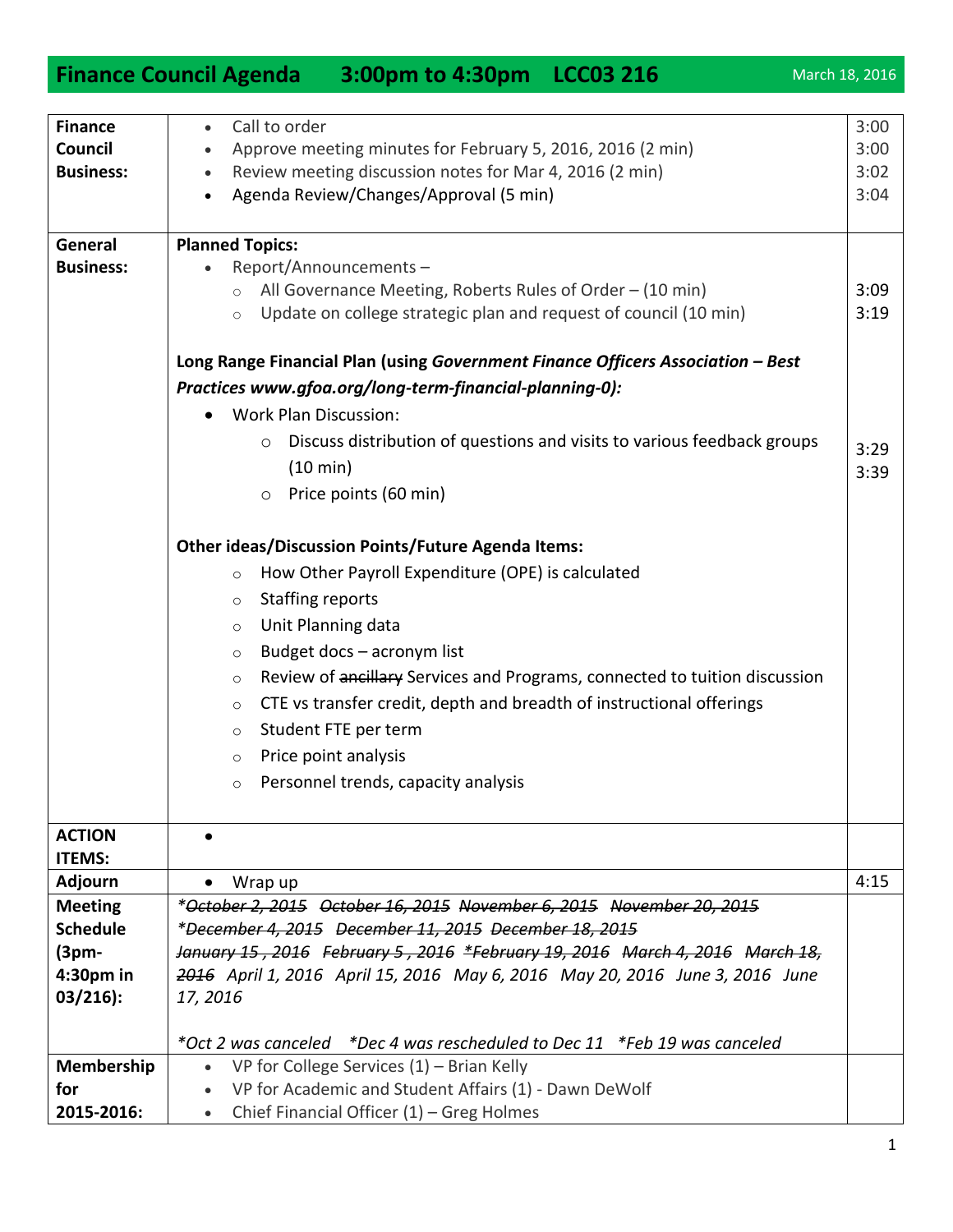| Call to order<br><b>Finance</b><br>3:00<br>$\bullet$<br>Approve meeting minutes for February 5, 2016, 2016 (2 min)<br>3:00<br>Council<br>Review meeting discussion notes for Mar 4, 2016 (2 min)<br><b>Business:</b><br>3:02<br>$\bullet$<br>Agenda Review/Changes/Approval (5 min)<br>3:04<br><b>Planned Topics:</b><br>General<br><b>Business:</b><br>Report/Announcements-<br>All Governance Meeting, Roberts Rules of Order - (10 min)<br>3:09<br>$\circ$<br>Update on college strategic plan and request of council (10 min)<br>3:19<br>$\circ$<br>Long Range Financial Plan (using Government Finance Officers Association - Best<br>Practices www.gfoa.org/long-term-financial-planning-0):<br><b>Work Plan Discussion:</b><br>Discuss distribution of questions and visits to various feedback groups<br>$\circ$<br>3:29<br>$(10 \text{ min})$<br>3:39<br>Price points (60 min)<br>$\circ$<br><b>Other ideas/Discussion Points/Future Agenda Items:</b><br>How Other Payroll Expenditure (OPE) is calculated<br>$\circ$<br><b>Staffing reports</b><br>$\circ$<br>Unit Planning data<br>$\circ$<br>Budget docs - acronym list<br>$\circ$<br>Review of ancillary Services and Programs, connected to tuition discussion<br>$\circ$<br>CTE vs transfer credit, depth and breadth of instructional offerings<br>$\circ$<br>Student FTE per term<br>$\circ$<br>Price point analysis<br>$\circ$<br>Personnel trends, capacity analysis<br>$\circ$<br><b>ACTION</b><br>$\bullet$<br><b>ITEMS:</b><br>4:15<br><b>Adjourn</b><br>Wrap up<br>$\bullet$<br>*October 2, 2015 October 16, 2015 November 6, 2015 November 20, 2015<br><b>Meeting</b><br><b>Schedule</b><br>*December 4, 2015 December 11, 2015 December 18, 2015<br>January 15, 2016 February 5, 2016 *February 19, 2016 March 4, 2016 March 18,<br>$(3pm-$<br>$4:30pm$ in<br>2016 April 1, 2016 April 15, 2016 May 6, 2016 May 20, 2016 June 3, 2016 June<br>$03/216$ :<br>17, 2016<br>*Oct 2 was canceled *Dec 4 was rescheduled to Dec 11 *Feb 19 was canceled<br>Membership<br>VP for College Services $(1)$ – Brian Kelly<br>$\bullet$<br>VP for Academic and Student Affairs (1) - Dawn DeWolf<br>for<br>$\bullet$<br>2015-2016:<br>Chief Financial Officer $(1)$ – Greg Holmes | <b>Finance Council Agenda</b> | 3:00pm to 4:30pm LCC03 216 |  | March 18, 2016 |
|-------------------------------------------------------------------------------------------------------------------------------------------------------------------------------------------------------------------------------------------------------------------------------------------------------------------------------------------------------------------------------------------------------------------------------------------------------------------------------------------------------------------------------------------------------------------------------------------------------------------------------------------------------------------------------------------------------------------------------------------------------------------------------------------------------------------------------------------------------------------------------------------------------------------------------------------------------------------------------------------------------------------------------------------------------------------------------------------------------------------------------------------------------------------------------------------------------------------------------------------------------------------------------------------------------------------------------------------------------------------------------------------------------------------------------------------------------------------------------------------------------------------------------------------------------------------------------------------------------------------------------------------------------------------------------------------------------------------------------------------------------------------------------------------------------------------------------------------------------------------------------------------------------------------------------------------------------------------------------------------------------------------------------------------------------------------------------------------------------------------------------------------------------------------------------------------------------------------------------------------------|-------------------------------|----------------------------|--|----------------|
|                                                                                                                                                                                                                                                                                                                                                                                                                                                                                                                                                                                                                                                                                                                                                                                                                                                                                                                                                                                                                                                                                                                                                                                                                                                                                                                                                                                                                                                                                                                                                                                                                                                                                                                                                                                                                                                                                                                                                                                                                                                                                                                                                                                                                                                 |                               |                            |  |                |
|                                                                                                                                                                                                                                                                                                                                                                                                                                                                                                                                                                                                                                                                                                                                                                                                                                                                                                                                                                                                                                                                                                                                                                                                                                                                                                                                                                                                                                                                                                                                                                                                                                                                                                                                                                                                                                                                                                                                                                                                                                                                                                                                                                                                                                                 |                               |                            |  |                |
|                                                                                                                                                                                                                                                                                                                                                                                                                                                                                                                                                                                                                                                                                                                                                                                                                                                                                                                                                                                                                                                                                                                                                                                                                                                                                                                                                                                                                                                                                                                                                                                                                                                                                                                                                                                                                                                                                                                                                                                                                                                                                                                                                                                                                                                 |                               |                            |  |                |
|                                                                                                                                                                                                                                                                                                                                                                                                                                                                                                                                                                                                                                                                                                                                                                                                                                                                                                                                                                                                                                                                                                                                                                                                                                                                                                                                                                                                                                                                                                                                                                                                                                                                                                                                                                                                                                                                                                                                                                                                                                                                                                                                                                                                                                                 |                               |                            |  |                |
|                                                                                                                                                                                                                                                                                                                                                                                                                                                                                                                                                                                                                                                                                                                                                                                                                                                                                                                                                                                                                                                                                                                                                                                                                                                                                                                                                                                                                                                                                                                                                                                                                                                                                                                                                                                                                                                                                                                                                                                                                                                                                                                                                                                                                                                 |                               |                            |  |                |
|                                                                                                                                                                                                                                                                                                                                                                                                                                                                                                                                                                                                                                                                                                                                                                                                                                                                                                                                                                                                                                                                                                                                                                                                                                                                                                                                                                                                                                                                                                                                                                                                                                                                                                                                                                                                                                                                                                                                                                                                                                                                                                                                                                                                                                                 |                               |                            |  |                |
|                                                                                                                                                                                                                                                                                                                                                                                                                                                                                                                                                                                                                                                                                                                                                                                                                                                                                                                                                                                                                                                                                                                                                                                                                                                                                                                                                                                                                                                                                                                                                                                                                                                                                                                                                                                                                                                                                                                                                                                                                                                                                                                                                                                                                                                 |                               |                            |  |                |
|                                                                                                                                                                                                                                                                                                                                                                                                                                                                                                                                                                                                                                                                                                                                                                                                                                                                                                                                                                                                                                                                                                                                                                                                                                                                                                                                                                                                                                                                                                                                                                                                                                                                                                                                                                                                                                                                                                                                                                                                                                                                                                                                                                                                                                                 |                               |                            |  |                |
|                                                                                                                                                                                                                                                                                                                                                                                                                                                                                                                                                                                                                                                                                                                                                                                                                                                                                                                                                                                                                                                                                                                                                                                                                                                                                                                                                                                                                                                                                                                                                                                                                                                                                                                                                                                                                                                                                                                                                                                                                                                                                                                                                                                                                                                 |                               |                            |  |                |
|                                                                                                                                                                                                                                                                                                                                                                                                                                                                                                                                                                                                                                                                                                                                                                                                                                                                                                                                                                                                                                                                                                                                                                                                                                                                                                                                                                                                                                                                                                                                                                                                                                                                                                                                                                                                                                                                                                                                                                                                                                                                                                                                                                                                                                                 |                               |                            |  |                |
|                                                                                                                                                                                                                                                                                                                                                                                                                                                                                                                                                                                                                                                                                                                                                                                                                                                                                                                                                                                                                                                                                                                                                                                                                                                                                                                                                                                                                                                                                                                                                                                                                                                                                                                                                                                                                                                                                                                                                                                                                                                                                                                                                                                                                                                 |                               |                            |  |                |
|                                                                                                                                                                                                                                                                                                                                                                                                                                                                                                                                                                                                                                                                                                                                                                                                                                                                                                                                                                                                                                                                                                                                                                                                                                                                                                                                                                                                                                                                                                                                                                                                                                                                                                                                                                                                                                                                                                                                                                                                                                                                                                                                                                                                                                                 |                               |                            |  |                |
|                                                                                                                                                                                                                                                                                                                                                                                                                                                                                                                                                                                                                                                                                                                                                                                                                                                                                                                                                                                                                                                                                                                                                                                                                                                                                                                                                                                                                                                                                                                                                                                                                                                                                                                                                                                                                                                                                                                                                                                                                                                                                                                                                                                                                                                 |                               |                            |  |                |
|                                                                                                                                                                                                                                                                                                                                                                                                                                                                                                                                                                                                                                                                                                                                                                                                                                                                                                                                                                                                                                                                                                                                                                                                                                                                                                                                                                                                                                                                                                                                                                                                                                                                                                                                                                                                                                                                                                                                                                                                                                                                                                                                                                                                                                                 |                               |                            |  |                |
|                                                                                                                                                                                                                                                                                                                                                                                                                                                                                                                                                                                                                                                                                                                                                                                                                                                                                                                                                                                                                                                                                                                                                                                                                                                                                                                                                                                                                                                                                                                                                                                                                                                                                                                                                                                                                                                                                                                                                                                                                                                                                                                                                                                                                                                 |                               |                            |  |                |
|                                                                                                                                                                                                                                                                                                                                                                                                                                                                                                                                                                                                                                                                                                                                                                                                                                                                                                                                                                                                                                                                                                                                                                                                                                                                                                                                                                                                                                                                                                                                                                                                                                                                                                                                                                                                                                                                                                                                                                                                                                                                                                                                                                                                                                                 |                               |                            |  |                |
|                                                                                                                                                                                                                                                                                                                                                                                                                                                                                                                                                                                                                                                                                                                                                                                                                                                                                                                                                                                                                                                                                                                                                                                                                                                                                                                                                                                                                                                                                                                                                                                                                                                                                                                                                                                                                                                                                                                                                                                                                                                                                                                                                                                                                                                 |                               |                            |  |                |
|                                                                                                                                                                                                                                                                                                                                                                                                                                                                                                                                                                                                                                                                                                                                                                                                                                                                                                                                                                                                                                                                                                                                                                                                                                                                                                                                                                                                                                                                                                                                                                                                                                                                                                                                                                                                                                                                                                                                                                                                                                                                                                                                                                                                                                                 |                               |                            |  |                |
|                                                                                                                                                                                                                                                                                                                                                                                                                                                                                                                                                                                                                                                                                                                                                                                                                                                                                                                                                                                                                                                                                                                                                                                                                                                                                                                                                                                                                                                                                                                                                                                                                                                                                                                                                                                                                                                                                                                                                                                                                                                                                                                                                                                                                                                 |                               |                            |  |                |
|                                                                                                                                                                                                                                                                                                                                                                                                                                                                                                                                                                                                                                                                                                                                                                                                                                                                                                                                                                                                                                                                                                                                                                                                                                                                                                                                                                                                                                                                                                                                                                                                                                                                                                                                                                                                                                                                                                                                                                                                                                                                                                                                                                                                                                                 |                               |                            |  |                |
|                                                                                                                                                                                                                                                                                                                                                                                                                                                                                                                                                                                                                                                                                                                                                                                                                                                                                                                                                                                                                                                                                                                                                                                                                                                                                                                                                                                                                                                                                                                                                                                                                                                                                                                                                                                                                                                                                                                                                                                                                                                                                                                                                                                                                                                 |                               |                            |  |                |
|                                                                                                                                                                                                                                                                                                                                                                                                                                                                                                                                                                                                                                                                                                                                                                                                                                                                                                                                                                                                                                                                                                                                                                                                                                                                                                                                                                                                                                                                                                                                                                                                                                                                                                                                                                                                                                                                                                                                                                                                                                                                                                                                                                                                                                                 |                               |                            |  |                |
|                                                                                                                                                                                                                                                                                                                                                                                                                                                                                                                                                                                                                                                                                                                                                                                                                                                                                                                                                                                                                                                                                                                                                                                                                                                                                                                                                                                                                                                                                                                                                                                                                                                                                                                                                                                                                                                                                                                                                                                                                                                                                                                                                                                                                                                 |                               |                            |  |                |
|                                                                                                                                                                                                                                                                                                                                                                                                                                                                                                                                                                                                                                                                                                                                                                                                                                                                                                                                                                                                                                                                                                                                                                                                                                                                                                                                                                                                                                                                                                                                                                                                                                                                                                                                                                                                                                                                                                                                                                                                                                                                                                                                                                                                                                                 |                               |                            |  |                |
|                                                                                                                                                                                                                                                                                                                                                                                                                                                                                                                                                                                                                                                                                                                                                                                                                                                                                                                                                                                                                                                                                                                                                                                                                                                                                                                                                                                                                                                                                                                                                                                                                                                                                                                                                                                                                                                                                                                                                                                                                                                                                                                                                                                                                                                 |                               |                            |  |                |
|                                                                                                                                                                                                                                                                                                                                                                                                                                                                                                                                                                                                                                                                                                                                                                                                                                                                                                                                                                                                                                                                                                                                                                                                                                                                                                                                                                                                                                                                                                                                                                                                                                                                                                                                                                                                                                                                                                                                                                                                                                                                                                                                                                                                                                                 |                               |                            |  |                |
|                                                                                                                                                                                                                                                                                                                                                                                                                                                                                                                                                                                                                                                                                                                                                                                                                                                                                                                                                                                                                                                                                                                                                                                                                                                                                                                                                                                                                                                                                                                                                                                                                                                                                                                                                                                                                                                                                                                                                                                                                                                                                                                                                                                                                                                 |                               |                            |  |                |
|                                                                                                                                                                                                                                                                                                                                                                                                                                                                                                                                                                                                                                                                                                                                                                                                                                                                                                                                                                                                                                                                                                                                                                                                                                                                                                                                                                                                                                                                                                                                                                                                                                                                                                                                                                                                                                                                                                                                                                                                                                                                                                                                                                                                                                                 |                               |                            |  |                |
|                                                                                                                                                                                                                                                                                                                                                                                                                                                                                                                                                                                                                                                                                                                                                                                                                                                                                                                                                                                                                                                                                                                                                                                                                                                                                                                                                                                                                                                                                                                                                                                                                                                                                                                                                                                                                                                                                                                                                                                                                                                                                                                                                                                                                                                 |                               |                            |  |                |
|                                                                                                                                                                                                                                                                                                                                                                                                                                                                                                                                                                                                                                                                                                                                                                                                                                                                                                                                                                                                                                                                                                                                                                                                                                                                                                                                                                                                                                                                                                                                                                                                                                                                                                                                                                                                                                                                                                                                                                                                                                                                                                                                                                                                                                                 |                               |                            |  |                |
|                                                                                                                                                                                                                                                                                                                                                                                                                                                                                                                                                                                                                                                                                                                                                                                                                                                                                                                                                                                                                                                                                                                                                                                                                                                                                                                                                                                                                                                                                                                                                                                                                                                                                                                                                                                                                                                                                                                                                                                                                                                                                                                                                                                                                                                 |                               |                            |  |                |
|                                                                                                                                                                                                                                                                                                                                                                                                                                                                                                                                                                                                                                                                                                                                                                                                                                                                                                                                                                                                                                                                                                                                                                                                                                                                                                                                                                                                                                                                                                                                                                                                                                                                                                                                                                                                                                                                                                                                                                                                                                                                                                                                                                                                                                                 |                               |                            |  |                |
|                                                                                                                                                                                                                                                                                                                                                                                                                                                                                                                                                                                                                                                                                                                                                                                                                                                                                                                                                                                                                                                                                                                                                                                                                                                                                                                                                                                                                                                                                                                                                                                                                                                                                                                                                                                                                                                                                                                                                                                                                                                                                                                                                                                                                                                 |                               |                            |  |                |
|                                                                                                                                                                                                                                                                                                                                                                                                                                                                                                                                                                                                                                                                                                                                                                                                                                                                                                                                                                                                                                                                                                                                                                                                                                                                                                                                                                                                                                                                                                                                                                                                                                                                                                                                                                                                                                                                                                                                                                                                                                                                                                                                                                                                                                                 |                               |                            |  |                |
|                                                                                                                                                                                                                                                                                                                                                                                                                                                                                                                                                                                                                                                                                                                                                                                                                                                                                                                                                                                                                                                                                                                                                                                                                                                                                                                                                                                                                                                                                                                                                                                                                                                                                                                                                                                                                                                                                                                                                                                                                                                                                                                                                                                                                                                 |                               |                            |  |                |
|                                                                                                                                                                                                                                                                                                                                                                                                                                                                                                                                                                                                                                                                                                                                                                                                                                                                                                                                                                                                                                                                                                                                                                                                                                                                                                                                                                                                                                                                                                                                                                                                                                                                                                                                                                                                                                                                                                                                                                                                                                                                                                                                                                                                                                                 |                               |                            |  |                |
|                                                                                                                                                                                                                                                                                                                                                                                                                                                                                                                                                                                                                                                                                                                                                                                                                                                                                                                                                                                                                                                                                                                                                                                                                                                                                                                                                                                                                                                                                                                                                                                                                                                                                                                                                                                                                                                                                                                                                                                                                                                                                                                                                                                                                                                 |                               |                            |  |                |
|                                                                                                                                                                                                                                                                                                                                                                                                                                                                                                                                                                                                                                                                                                                                                                                                                                                                                                                                                                                                                                                                                                                                                                                                                                                                                                                                                                                                                                                                                                                                                                                                                                                                                                                                                                                                                                                                                                                                                                                                                                                                                                                                                                                                                                                 |                               |                            |  |                |
|                                                                                                                                                                                                                                                                                                                                                                                                                                                                                                                                                                                                                                                                                                                                                                                                                                                                                                                                                                                                                                                                                                                                                                                                                                                                                                                                                                                                                                                                                                                                                                                                                                                                                                                                                                                                                                                                                                                                                                                                                                                                                                                                                                                                                                                 |                               |                            |  |                |
|                                                                                                                                                                                                                                                                                                                                                                                                                                                                                                                                                                                                                                                                                                                                                                                                                                                                                                                                                                                                                                                                                                                                                                                                                                                                                                                                                                                                                                                                                                                                                                                                                                                                                                                                                                                                                                                                                                                                                                                                                                                                                                                                                                                                                                                 |                               |                            |  |                |